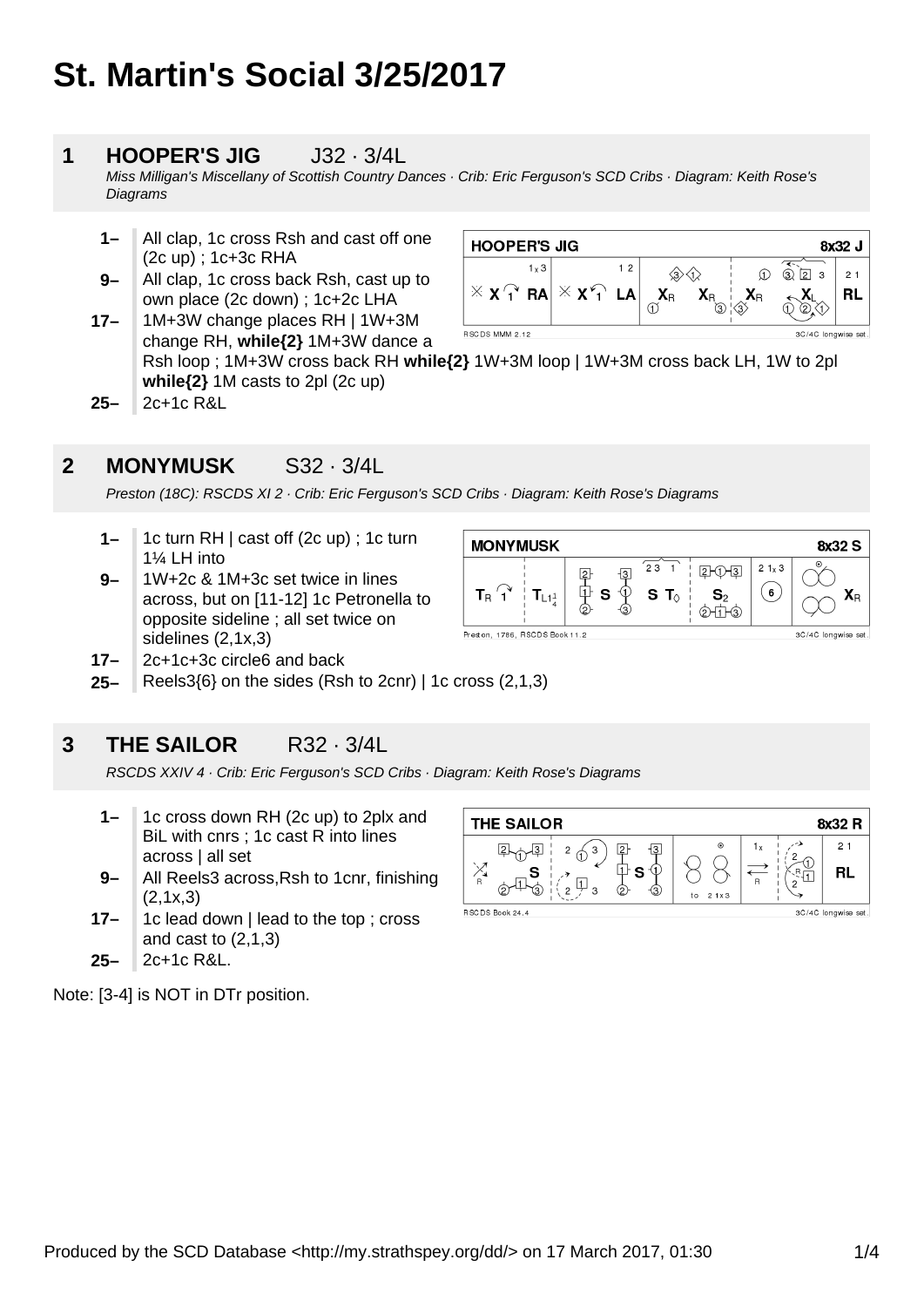# **St. Martin's Social 3/25/2017**

### **1 HOOPER'S JIG** J32 · 3/4L

Miss Milligan's Miscellany of Scottish Country Dances · Crib: Eric Ferguson's SCD Cribs · Diagram: Keith Rose's **Diagrams** 

- **1–** All clap, 1c cross Rsh and cast off one (2c up) ; 1c+3c RHA
- **17– 9–** All clap, 1c cross back Rsh, cast up to own place (2c down) ; 1c+2c LHA

| <b>HOOPER'S JIG</b><br>8x32 J |                     |    |         |                        |    |                     |   |
|-------------------------------|---------------------|----|---------|------------------------|----|---------------------|---|
| $1 \times 3$                  |                     | 12 |         |                        |    | (3)<br>12<br>3      | 2 |
| $\times$ X $\uparrow$ RA      | $X$ $X$ $Y$ $L$ $A$ |    | $X_{R}$ | $\mathsf{A}\mathsf{B}$ | ĀR |                     | R |
| RSCDS MMM 2.12                |                     |    |         |                        |    | 3C/4C longwise set. |   |

 $\overline{23}$ 

 $S$  T

 $\overline{3}$ 

車

S ⊕

change RH, **while{2}** 1M+3W dance a Rsh loop ; 1M+3W cross back RH **while{2}** 1W+3M loop | 1W+3M cross back LH, 1W to 2pl **while{2}** 1M casts to 2pl (2c up)

**MONYMUSK** 

 $\mathbf{T}_{\mathsf{L1}^1_4}$ 

Preston, 1786, RSCDS Book 11.2

 $\mathbf{T}_{\mathsf{R}}$   $^\prime$  1

**25–** 2c+1c R&L

### **2 MONYMUSK** S32 · 3/4L

Preston (18C): RSCDS XI 2 · Crib: Eric Ferguson's SCD Cribs · Diagram: Keith Rose's Diagrams

- **1–** 1c turn RH | cast off (2c up) ; 1c turn 1¼ LH into
- **9–** 1W+2c & 1M+3c set twice in lines across, but on [11-12] 1c Petronella to opposite sideline ; all set twice on sidelines (2,1x,3)
- **17–** 2c+1c+3c circle6 and back
- **25–** Reels3{6} on the sides (Rsh to 2cnr) | 1c cross (2,1,3)

### **3 THE SAILOR** R32 · 3/4L

RSCDS XXIV 4 · Crib: Eric Ferguson's SCD Cribs · Diagram: Keith Rose's Diagrams

- **1–** 1c cross down RH (2c up) to 2plx and BiL with cnrs ; 1c cast R into lines across | all set
- **9–** All Reels3 across,Rsh to 1cnr, finishing  $(2,1x,3)$
- **17–** 1c lead down | lead to the top ; cross and cast to (2,1,3)
- **25–** 2c+1c R&L.

Note: [3-4] is NOT in DTr position.





8x32 S

3C/4C longwise set.

 $\mathbf{X}_{\mathsf{R}}$ 

 $21x3$ 

( 6

 $2 + 0 + 3$ 

 $\mathbf{S}_2$ 

 $\phi$ HTH3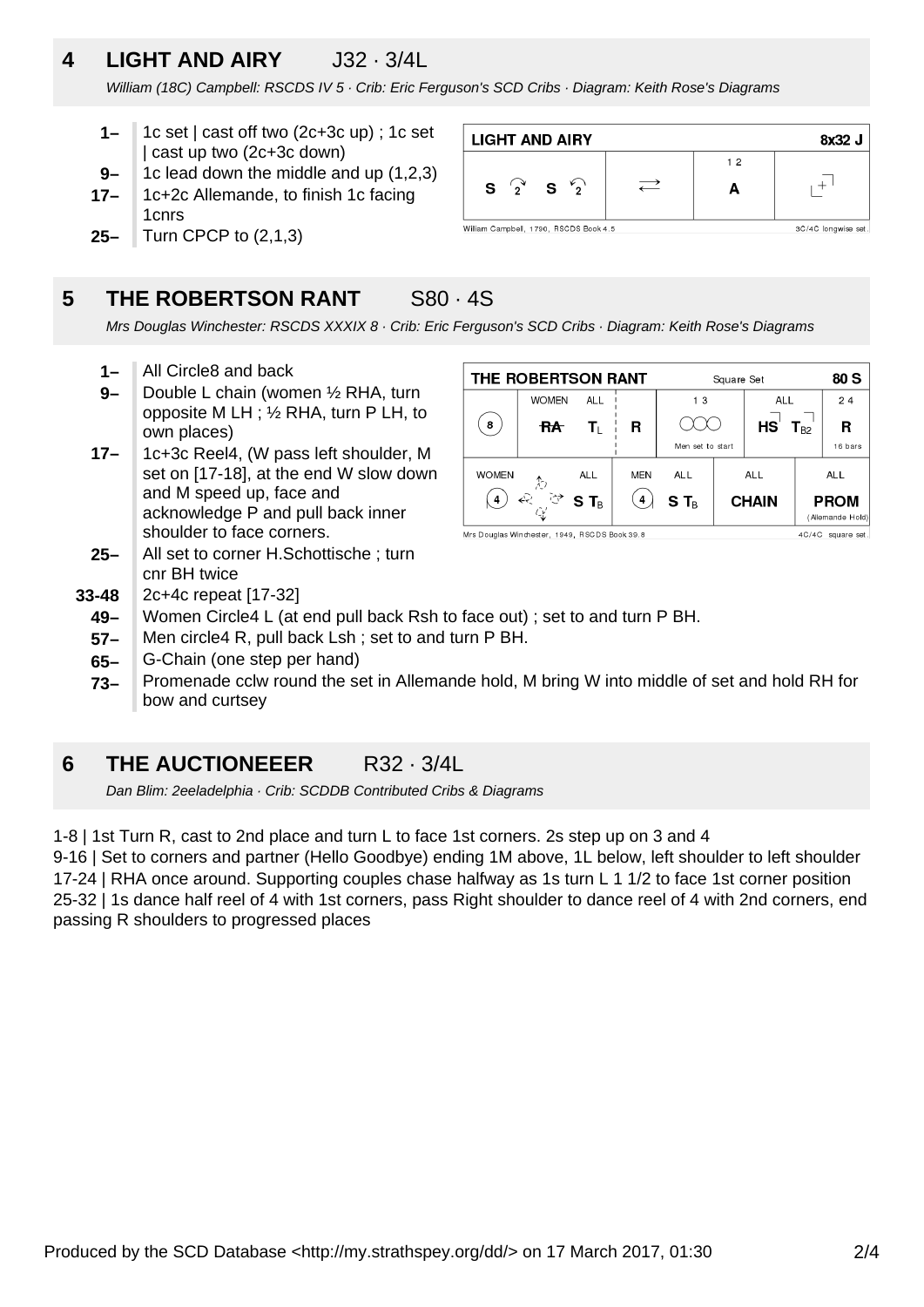## **4 LIGHT AND AIRY** J32 · 3/4L

William (18C) Campbell: RSCDS IV 5 · Crib: Eric Ferguson's SCD Cribs · Diagram: Keith Rose's Diagrams

- **1–** 1c set | cast off two (2c+3c up) ; 1c set | cast up two (2c+3c down)
- **9–** 1c lead down the middle and up (1,2,3)
- **17–** 1c+2c Allemande, to finish 1c facing 1cnrs
- **25–** Turn CPCP to (2,1,3)

### **5 THE ROBERTSON RANT S80 · 4S**

**LIGHT AND AIRY** 8x32 J  $1<sub>2</sub>$  $+$ <sup>1</sup>  $\rightleftarrows$  $\mathcal{L}_{2}$ S ່າ S A William Campbell, 1790, RSCDS Book 4.5 3C/4C longwise set

Mrs Douglas Winchester: RSCDS XXXIX 8 · Crib: Eric Ferguson's SCD Cribs · Diagram: Keith Rose's Diagrams

- **1–** All Circle8 and back
- **9–** Double L chain (women ½ RHA, turn opposite M LH ; ½ RHA, turn P LH, to own places)
- **17–** 1c+3c Reel4, (W pass left shoulder, M set on [17-18], at the end W slow down and M speed up, face and acknowledge P and pull back inner shoulder to face corners.
- **25–** All set to corner H.Schottische ; turn cnr BH twice
- **33-48** 2c+4c repeat [17-32]
	- **49–** Women Circle4 L (at end pull back Rsh to face out) ; set to and turn P BH.
	- **57–** Men circle4 R, pull back Lsh ; set to and turn P BH.
	- **65–** G-Chain (one step per hand)
	- **73–** Promenade cclw round the set in Allemande hold, M bring W into middle of set and hold RH for bow and curtsey

### **6 THE AUCTIONEEER** R32 · 3/4L

Dan Blim: 2eeladelphia · Crib: SCDDB Contributed Cribs & Diagrams

1-8 | 1st Turn R, cast to 2nd place and turn L to face 1st corners. 2s step up on 3 and 4

9-16 | Set to corners and partner (Hello Goodbye) ending 1M above, 1L below, left shoulder to left shoulder 17-24 | RHA once around. Supporting couples chase halfway as 1s turn L 1 1/2 to face 1st corner position 25-32 | 1s dance half reel of 4 with 1st corners, pass Right shoulder to dance reel of 4 with 2nd corners, end passing R shoulders to progressed places



Mrs Douglas Windrester, 1949, RSCDS Book 39.8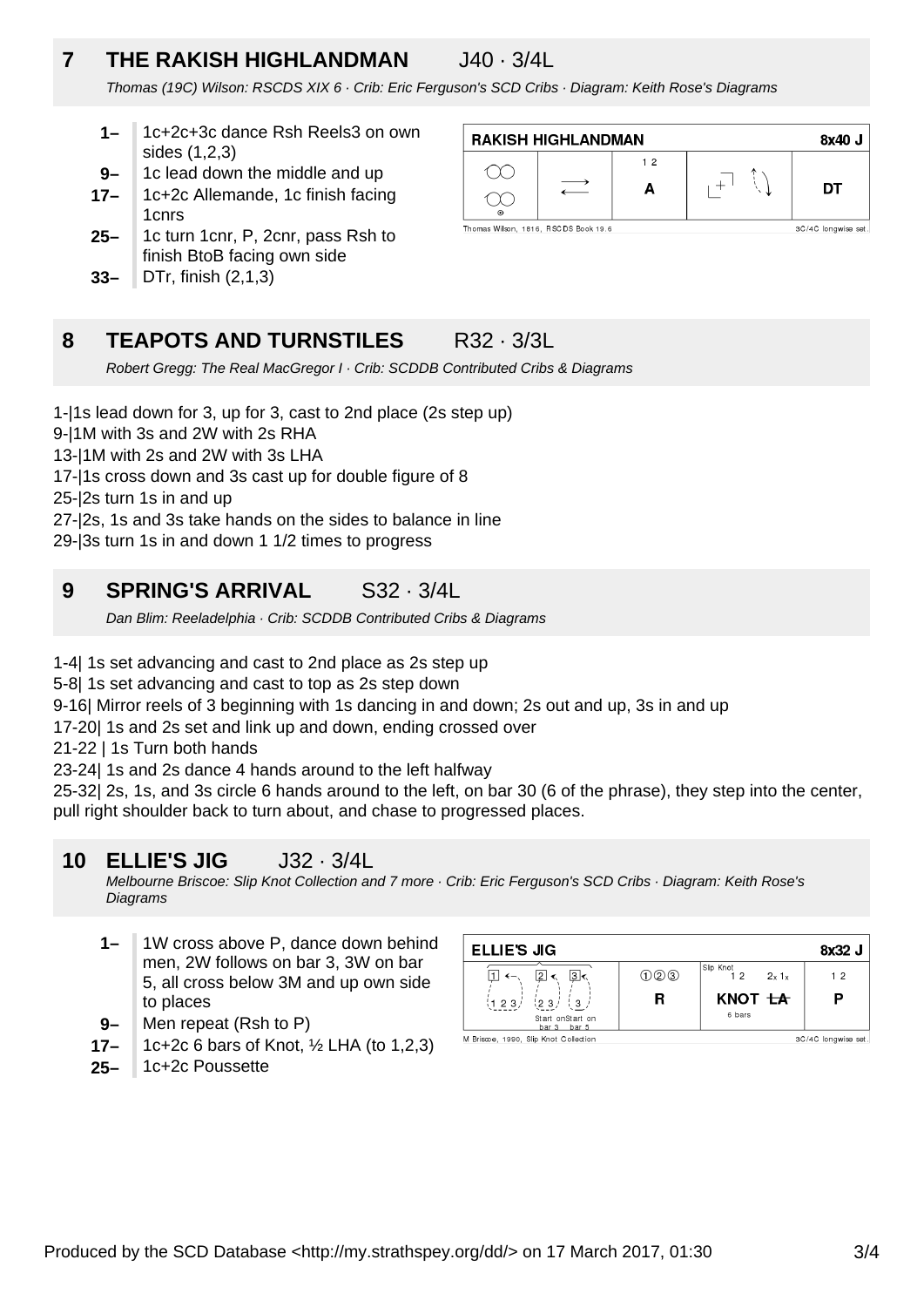## **7 THE RAKISH HIGHLANDMAN** J40 · 3/4L

Thomas (19C) Wilson: RSCDS XIX 6 · Crib: Eric Ferguson's SCD Cribs · Diagram: Keith Rose's Diagrams

- **1–** 1c+2c+3c dance Rsh Reels3 on own sides (1,2,3)
- **9–** 1c lead down the middle and up
- **17–** 1c+2c Allemande, 1c finish facing 1cnrs
- **25–** 1c turn 1cnr, P, 2cnr, pass Rsh to finish BtoB facing own side
- **33–** DTr, finish (2,1,3)



### **8 TEAPOTS AND TURNSTILES** R32 · 3/3L

Robert Gregg: The Real MacGregor I · Crib: SCDDB Contributed Cribs & Diagrams

1-|1s lead down for 3, up for 3, cast to 2nd place (2s step up)

9-|1M with 3s and 2W with 2s RHA

13-|1M with 2s and 2W with 3s LHA

17-|1s cross down and 3s cast up for double figure of 8

25-|2s turn 1s in and up

27-|2s, 1s and 3s take hands on the sides to balance in line

29-|3s turn 1s in and down 1 1/2 times to progress

### **9 SPRING'S ARRIVAL** S32 · 3/4L

Dan Blim: Reeladelphia · Crib: SCDDB Contributed Cribs & Diagrams

1-4| 1s set advancing and cast to 2nd place as 2s step up

5-8| 1s set advancing and cast to top as 2s step down

9-16| Mirror reels of 3 beginning with 1s dancing in and down; 2s out and up, 3s in and up

17-20| 1s and 2s set and link up and down, ending crossed over

21-22 | 1s Turn both hands

23-24| 1s and 2s dance 4 hands around to the left halfway

25-32| 2s, 1s, and 3s circle 6 hands around to the left, on bar 30 (6 of the phrase), they step into the center, pull right shoulder back to turn about, and chase to progressed places.

### **10 ELLIE'S JIG** J32 · 3/4L

Melbourne Briscoe: Slip Knot Collection and 7 more · Crib: Eric Ferguson's SCD Cribs · Diagram: Keith Rose's **Diagrams** 

- **1–** 1W cross above P, dance down behind men, 2W follows on bar 3, 3W on bar 5, all cross below 3M and up own side to places
- **9–** Men repeat (Rsh to P)
- **17–** 1c+2c 6 bars of Knot, ½ LHA (to 1,2,3)
- **25–** 1c+2c Poussette

| <b>ELLIE'S JIG</b>                                                       |     |                         | 8x32 J              |
|--------------------------------------------------------------------------|-----|-------------------------|---------------------|
| 3<br>$\overline{2}$                                                      | 020 | Slip Knot<br>2x1x<br>12 | 12                  |
| $\binom{1}{3}$<br>(123)<br>123/                                          | R   | KNOT <del>LA</del>      | P                   |
| Start onStart on<br>bar 3 bar 5<br>M Briscoe, 1990. Slip Knot Collection |     | 6 bars                  | 3C/4C longwise set. |